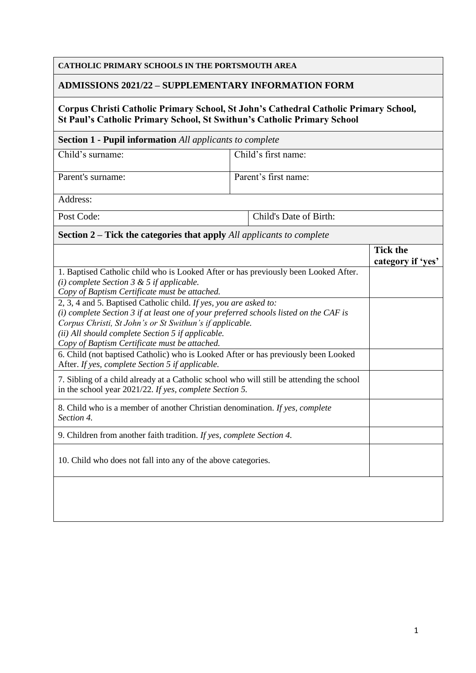# **CATHOLIC PRIMARY SCHOOLS IN THE PORTSMOUTH AREA**

### **ADMISSIONS 2021/22 – SUPPLEMENTARY INFORMATION FORM**

### **Corpus Christi Catholic Primary School, St John's Cathedral Catholic Primary School, St Paul's Catholic Primary School, St Swithun's Catholic Primary School**

#### **Section 1 - Pupil information** *All applicants to complete*

| Child's surname:  | Child's first name:  |
|-------------------|----------------------|
| Parent's surname: | Parent's first name: |

Address:

Post Code: Cole: Child's Date of Birth:

## **Section 2 – Tick the categories that apply** *All applicants to complete*

|                                                                                                                                                      | <b>Tick the</b><br>category if 'yes' |
|------------------------------------------------------------------------------------------------------------------------------------------------------|--------------------------------------|
| 1. Baptised Catholic child who is Looked After or has previously been Looked After.                                                                  |                                      |
| (i) complete Section $3 \& 5$ if applicable.                                                                                                         |                                      |
| Copy of Baptism Certificate must be attached.                                                                                                        |                                      |
| 2, 3, 4 and 5. Baptised Catholic child. If yes, you are asked to:                                                                                    |                                      |
| $(i)$ complete Section 3 if at least one of your preferred schools listed on the CAF is                                                              |                                      |
| Corpus Christi, St John's or St Swithun's if applicable.                                                                                             |                                      |
| (ii) All should complete Section 5 if applicable.                                                                                                    |                                      |
| Copy of Baptism Certificate must be attached.                                                                                                        |                                      |
| 6. Child (not baptised Catholic) who is Looked After or has previously been Looked                                                                   |                                      |
| After. If yes, complete Section 5 if applicable.                                                                                                     |                                      |
| 7. Sibling of a child already at a Catholic school who will still be attending the school<br>in the school year 2021/22. If yes, complete Section 5. |                                      |
| 8. Child who is a member of another Christian denomination. If yes, complete<br>Section 4.                                                           |                                      |
| 9. Children from another faith tradition. If yes, complete Section 4.                                                                                |                                      |
| 10. Child who does not fall into any of the above categories.                                                                                        |                                      |
|                                                                                                                                                      |                                      |